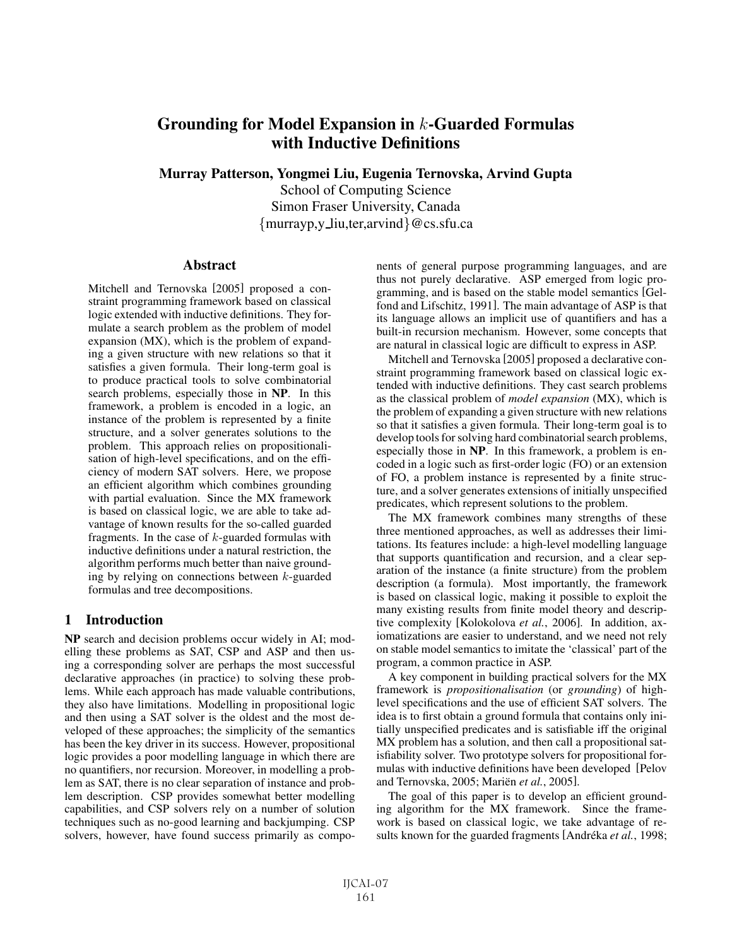# Grounding for Model Expansion in  $k$ -Guarded Formulas with Inductive Definitions

Murray Patterson, Yongmei Liu, Eugenia Ternovska, Arvind Gupta

School of Computing Science Simon Fraser University, Canada {murrayp,y liu,ter,arvind}@cs.sfu.ca

#### **Abstract**

Mitchell and Ternovska [2005] proposed a constraint programming framework based on classical logic extended with inductive definitions. They formulate a search problem as the problem of model expansion (MX), which is the problem of expanding a given structure with new relations so that it satisfies a given formula. Their long-term goal is to produce practical tools to solve combinatorial search problems, especially those in NP. In this framework, a problem is encoded in a logic, an instance of the problem is represented by a finite structure, and a solver generates solutions to the problem. This approach relies on propositionalisation of high-level specifications, and on the efficiency of modern SAT solvers. Here, we propose an efficient algorithm which combines grounding with partial evaluation. Since the MX framework is based on classical logic, we are able to take advantage of known results for the so-called guarded fragments. In the case of  $k$ -guarded formulas with inductive definitions under a natural restriction, the algorithm performs much better than naive grounding by relying on connections between k-guarded formulas and tree decompositions.

#### 1 Introduction

NP search and decision problems occur widely in AI; modelling these problems as SAT, CSP and ASP and then using a corresponding solver are perhaps the most successful declarative approaches (in practice) to solving these problems. While each approach has made valuable contributions, they also have limitations. Modelling in propositional logic and then using a SAT solver is the oldest and the most developed of these approaches; the simplicity of the semantics has been the key driver in its success. However, propositional logic provides a poor modelling language in which there are no quantifiers, nor recursion. Moreover, in modelling a problem as SAT, there is no clear separation of instance and problem description. CSP provides somewhat better modelling capabilities, and CSP solvers rely on a number of solution techniques such as no-good learning and backjumping. CSP solvers, however, have found success primarily as components of general purpose programming languages, and are thus not purely declarative. ASP emerged from logic programming, and is based on the stable model semantics [Gelfond and Lifschitz, 1991]. The main advantage of ASP is that its language allows an implicit use of quantifiers and has a built-in recursion mechanism. However, some concepts that are natural in classical logic are difficult to express in ASP.

Mitchell and Ternovska [2005] proposed a declarative constraint programming framework based on classical logic extended with inductive definitions. They cast search problems as the classical problem of *model expansion* (MX), which is the problem of expanding a given structure with new relations so that it satisfies a given formula. Their long-term goal is to develop tools for solving hard combinatorial search problems, especially those in NP. In this framework, a problem is encoded in a logic such as first-order logic (FO) or an extension of FO, a problem instance is represented by a finite structure, and a solver generates extensions of initially unspecified predicates, which represent solutions to the problem.

The MX framework combines many strengths of these three mentioned approaches, as well as addresses their limitations. Its features include: a high-level modelling language that supports quantification and recursion, and a clear separation of the instance (a finite structure) from the problem description (a formula). Most importantly, the framework is based on classical logic, making it possible to exploit the many existing results from finite model theory and descriptive complexity [Kolokolova *et al.*, 2006]. In addition, axiomatizations are easier to understand, and we need not rely on stable model semantics to imitate the 'classical' part of the program, a common practice in ASP.

A key component in building practical solvers for the MX framework is *propositionalisation* (or *grounding*) of highlevel specifications and the use of efficient SAT solvers. The idea is to first obtain a ground formula that contains only initially unspecified predicates and is satisfiable iff the original MX problem has a solution, and then call a propositional satisfiability solver. Two prototype solvers for propositional formulas with inductive definitions have been developed [Pelov and Ternovska, 2005; Mariën *et al.*, 2005].

The goal of this paper is to develop an efficient grounding algorithm for the MX framework. Since the framework is based on classical logic, we take advantage of results known for the guarded fragments [Andréka *et al.*, 1998;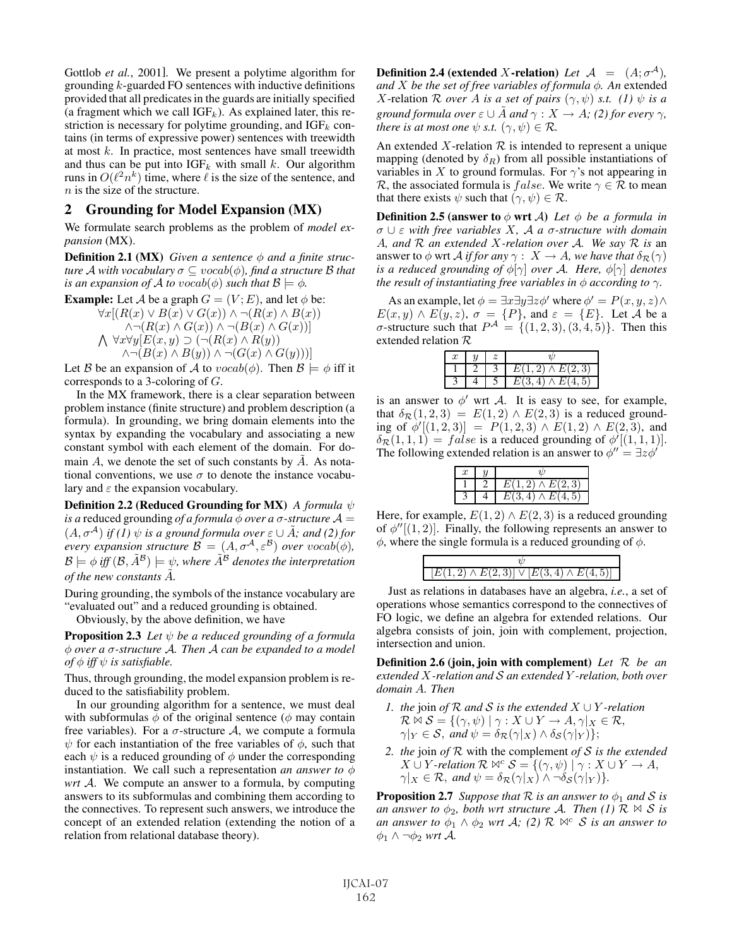Gottlob *et al.*, 2001]. We present a polytime algorithm for grounding  $k$ -guarded FO sentences with inductive definitions provided that all predicates in the guards are initially specified (a fragment which we call  $IGF_k$ ). As explained later, this restriction is necessary for polytime grounding, and  $IGF_k$  contains (in terms of expressive power) sentences with treewidth at most  $k$ . In practice, most sentences have small treewidth and thus can be put into  $IGF_k$  with small k. Our algorithm runs in  $O(\ell^2 n^k)$  time, where  $\ell$  is the size of the sentence, and  $n$  is the size of the structure.

## 2 Grounding for Model Expansion (MX)

We formulate search problems as the problem of *model expansion* (MX).

**Definition 2.1 (MX)** *Given a sentence*  $\phi$  *and a finite structure* A with vocabulary  $\sigma \subseteq vocab(\phi)$ , find a structure B that *is an expansion of A to*  $vocab(\phi)$  *such that*  $\mathcal{B} \models \phi$ *.* 

**Example:** Let A be a graph  $G = (V; E)$ , and let  $\phi$  be:

 $\forall x \left[ (R(x) \vee B(x) \vee G(x)) \wedge \neg (R(x) \wedge B(x)) \right]$  $\bigwedge \forall x \forall y [E(x, y) \supset (\neg (R(x) \land R(y)))$  $\wedge \neg (R(x) \wedge G(x)) \wedge \neg (B(x) \wedge G(x))]$  $\wedge \neg (B(x) \wedge B(y)) \wedge \neg (G(x) \wedge G(y)))$ 

Let B be an expansion of A to  $vocab(\phi)$ . Then  $\mathcal{B} \models \phi$  iff it corresponds to a 3-coloring of G.

In the MX framework, there is a clear separation between problem instance (finite structure) and problem description (a formula). In grounding, we bring domain elements into the syntax by expanding the vocabulary and associating a new constant symbol with each element of the domain. For domain  $A$ , we denote the set of such constants by  $A$ . As notational conventions, we use  $\sigma$  to denote the instance vocabulary and  $\varepsilon$  the expansion vocabulary.

Definition 2.2 (Reduced Grounding for MX) *A formula* ψ *is a* reduced grounding *of a formula*  $\phi$  *over a*  $\sigma$ -*structure*  $\mathcal{A} =$  $(A, \sigma^{A})$  *if (1)*  $\psi$  *is a ground formula over*  $\varepsilon \cup \tilde{A}$ *; and (2) for every expansion structure*  $\mathcal{B} = (A, \sigma^{\mathcal{A}}, \varepsilon^{\mathcal{B}})$  *over*  $vocab(\phi)$ *,*  $\mathcal{B} \models \phi$  *iff*  $(\mathcal{B}, \tilde{A}^{\mathcal{B}}) \models \psi$ , where  $\tilde{A}^{\mathcal{B}}$  denotes the interpretation *of the new constants*  $\tilde{A}$ *.* 

During grounding, the symbols of the instance vocabulary are "evaluated out" and a reduced grounding is obtained.

Obviously, by the above definition, we have

**Proposition 2.3** Let  $\psi$  be a reduced grounding of a formula φ *over a* σ*-structure* A*. Then* A *can be expanded to a model of*  $\phi$  *iff*  $\psi$  *is satisfiable.* 

Thus, through grounding, the model expansion problem is reduced to the satisfiability problem.

In our grounding algorithm for a sentence, we must deal with subformulas  $\phi$  of the original sentence ( $\phi$  may contain free variables). For a  $\sigma$ -structure A, we compute a formula  $\psi$  for each instantiation of the free variables of  $\phi$ , such that each  $\psi$  is a reduced grounding of  $\phi$  under the corresponding instantiation. We call such a representation *an answer to*  $\phi$ *wrt* A. We compute an answer to a formula, by computing answers to its subformulas and combining them according to the connectives. To represent such answers, we introduce the concept of an extended relation (extending the notion of a relation from relational database theory).

**Definition 2.4** (extended X-relation) Let  $A = (A; \sigma^A)$ , *and* X *be the set of free variables of formula* φ*. An* extended X-relation  $\mathcal R$  *over* A *is a set of pairs*  $(\gamma, \psi)$  *s.t.* (1)  $\psi$  *is a ground formula over*  $\varepsilon \cup \overline{A}$  *and*  $\gamma : X \to A$ *;* (2) for every  $\gamma$ *, there is at most one*  $\psi$  *s.t.*  $(\gamma, \psi) \in \mathcal{R}$ *.* 

An extended X-relation  $\mathcal R$  is intended to represent a unique mapping (denoted by  $\delta_R$ ) from all possible instantiations of variables in X to ground formulas. For  $\gamma$ 's not appearing in R, the associated formula is *false*. We write  $\gamma \in \mathcal{R}$  to mean that there exists  $\psi$  such that  $(\gamma, \psi) \in \mathcal{R}$ .

**Definition 2.5 (answer to**  $\phi$  wrt  $\mathcal{A}$ ) *Let*  $\phi$  *be a formula in* σ ∪ ε *with free variables* X*,* A *a* σ*-structure with domain* A*, and* R *an extended* X*-relation over* A*. We say* R *is* an answer to  $\phi$  wrt *A if for any*  $\gamma$  :  $X \to A$ *, we have that*  $\delta_{\mathcal{R}}(\gamma)$ *is a reduced grounding of* φ[γ] *over* A*. Here,* φ[γ] *denotes the result of instantiating free variables in*  $\phi$  *according to*  $\gamma$ *.* 

As an example, let  $\phi = \exists x \exists y \exists z \phi'$  where  $\phi' = P(x, y, z) \land$  $E(x, y) \wedge E(y, z), \sigma = \{P\}$ , and  $\varepsilon = \{E\}$ . Let A be a  $\sigma$ -structure such that  $P^{\mathcal{A}} = \{(1,2,3), (3,4,5)\}\$ . Then this extended relation R

| $E(1,2) \wedge E(2,3)$ |  |                        |
|------------------------|--|------------------------|
|                        |  |                        |
|                        |  | $E(3,4) \wedge E(4,5)$ |

is an answer to  $\phi'$  wrt A. It is easy to see, for example, that  $\delta_{\mathcal{R}}(1,2,3) = E(1,2) \wedge E(2,3)$  is a reduced grounding of  $\phi'[(1,2,3)] = P(1,2,3) \wedge E(1,2) \wedge E(2,3)$ , and  $\delta_{\mathcal{R}}(1,1,1) = false$  is a reduced grounding of  $\phi'[(1,1,1)].$ The following extended relation is an answer to  $\phi'' = \exists z \phi'$ 

| $E(1,2) \wedge E(2,3)$ |  |                        |
|------------------------|--|------------------------|
|                        |  |                        |
|                        |  | $E(3,4) \wedge E(4,5)$ |

Here, for example,  $E(1, 2) \wedge E(2, 3)$  is a reduced grounding of  $\phi''[(1,2)]$ . Finally, the following represents an answer to  $\phi$ , where the single formula is a reduced grounding of  $\phi$ .

| $[E(1,2) \wedge E(2,3)] \vee [E(3,4) \wedge E(4,5)]$ |
|------------------------------------------------------|
|                                                      |

Just as relations in databases have an algebra, *i.e.*, a set of operations whose semantics correspond to the connectives of FO logic, we define an algebra for extended relations. Our algebra consists of join, join with complement, projection, intersection and union.

Definition 2.6 (join, join with complement) *Let* R *be an extended* X*-relation and* S *an extended* Y *-relation, both over domain* A*. Then*

- *1. the* join *of* R *and* S *is the extended* X ∪ Y *-relation*  $\mathcal{R} \bowtie \mathcal{S} = \{(\gamma, \psi) \mid \gamma : X \cup Y \to A, \gamma | X \in \mathcal{R},\}$  $\gamma|_Y \in \mathcal{S}$ , and  $\psi = \delta_{\mathcal{R}}(\gamma|_X) \wedge \delta_{\mathcal{S}}(\gamma|_Y)$ ;
- *2. the* join *of* R with the complement *of* S *is the extended*  $X \cup Y$ *-relation*  $\mathcal{R} \bowtie^c \mathcal{S} = \{(\gamma, \psi) \mid \gamma : X \cup Y \to A,$  $\gamma|_X \in \mathcal{R}$ , and  $\psi = \delta_{\mathcal{R}}(\gamma|_X) \wedge \neg \delta_{\mathcal{S}}(\gamma|_Y)$ .

**Proposition 2.7** *Suppose that*  $\mathcal R$  *is an answer to*  $\phi_1$  *and*  $\mathcal S$  *is an answer to*  $\phi_2$ *, both wrt structure* A*. Then* (1)  $\mathcal{R} \bowtie S$  *is an answer to*  $\phi_1 \wedge \phi_2$  *wrt*  $\mathcal{A}$ *;* (2)  $\mathcal{R} \bowtie^c \mathcal{S}$  *is an answer to*  $φ_1$   $\wedge$   $\neg φ_2$  *wrt*  $\mathcal{A}$ *.*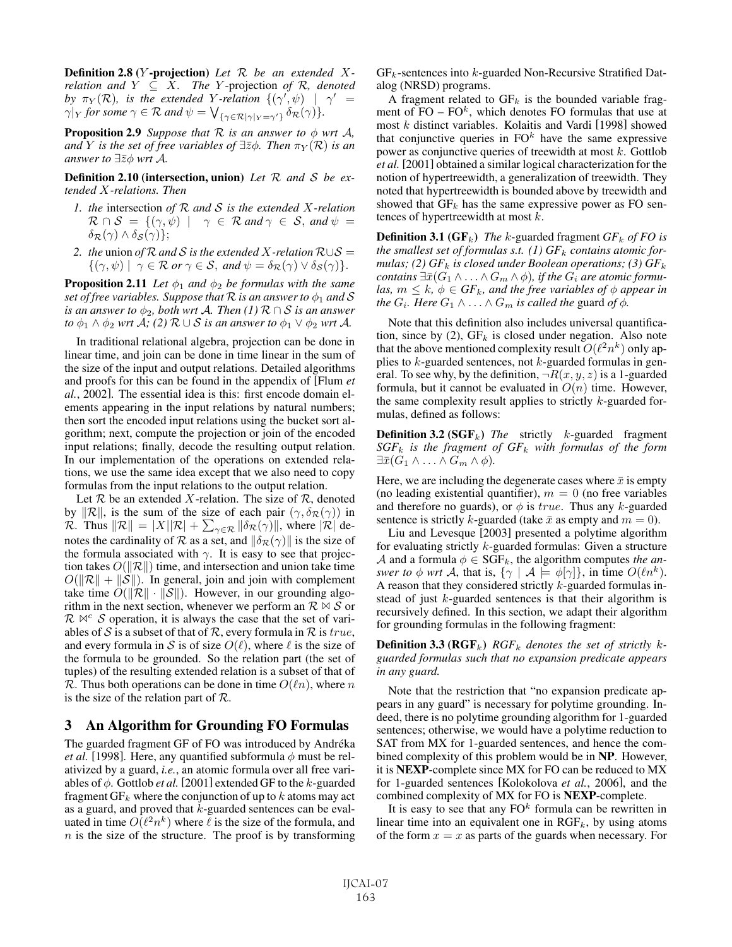Definition 2.8 (Y -projection) *Let* R *be an extended* X*relation and*  $Y \subseteq X$ *. The* Y-projection of R, denoted *by*  $\pi_Y(\mathcal{R})$ , is the extended Y-relation  $\{(\gamma',\psi)$  |  $\gamma'$  =  $\gamma|_Y$  *for some*  $\gamma \in \mathcal{R}$  *and*  $\psi = \bigvee_{\{\gamma \in \mathcal{R} | \gamma|_Y = \gamma'\}} \delta_{\mathcal{R}}(\gamma) \}.$ 

**Proposition 2.9** *Suppose that*  $\mathcal{R}$  *is an answer to*  $\phi$  *wrt*  $\mathcal{A}$ *, and* Y *is the set of free variables of*  $\exists \overline{z} \phi$ *. Then*  $\pi_Y(\mathcal{R})$  *is an answer to*  $\exists \bar{z} \phi$  *wrt* A.

Definition 2.10 (intersection, union) *Let* R *and* S *be extended* X*-relations. Then*

- *1. the* intersection *of* R *and* S *is the extended* X*-relation*  $\mathcal{R} \cap \mathcal{S} = \{(\gamma, \psi) \mid \gamma \in \mathcal{R} \text{ and } \gamma \in \mathcal{S}, \text{ and } \psi = \gamma \}$  $\delta_{\mathcal{R}}(\gamma) \wedge \delta_{\mathcal{S}}(\gamma)$ ;
- *2. the union of*  $R$  *and*  $S$  *is the extended*  $X$ -relation  $R \cup S =$  $\{(\gamma,\psi) \mid \gamma \in \mathcal{R} \text{ or } \gamma \in \mathcal{S}, \text{ and } \psi = \delta_{\mathcal{R}}(\gamma) \vee \delta_{\mathcal{S}}(\gamma) \}.$

**Proposition 2.11** *Let*  $\phi_1$  *and*  $\phi_2$  *be formulas with the same set of free variables. Suppose that*  $R$  *is an answer to*  $\phi_1$  *and*  $S$ *is an answer to*  $\phi_2$ *, both wrt A. Then (1)*  $\mathcal{R} \cap S$  *is an answer to*  $\phi_1 \wedge \phi_2$  *wrt*  $\mathcal{A}$ *;* (2)  $\mathcal{R} \cup \mathcal{S}$  *is an answer to*  $\phi_1 \vee \phi_2$  *wrt*  $\mathcal{A}$ *.* 

In traditional relational algebra, projection can be done in linear time, and join can be done in time linear in the sum of the size of the input and output relations. Detailed algorithms and proofs for this can be found in the appendix of [Flum *et al.*, 2002]. The essential idea is this: first encode domain elements appearing in the input relations by natural numbers; then sort the encoded input relations using the bucket sort algorithm; next, compute the projection or join of the encoded input relations; finally, decode the resulting output relation. In our implementation of the operations on extended relations, we use the same idea except that we also need to copy formulas from the input relations to the output relation.

Let  $R$  be an extended  $X$ -relation. The size of  $R$ , denoted by  $\|\mathcal{R}\|$ , is the sum of the size of each pair  $(\gamma, \delta_{\mathcal{R}}(\gamma))$  in  $\mathcal{R}.$  Thus  $\|\mathcal{R}\|=|X||\mathcal{R}|+\sum_{\gamma\in\mathcal{R}}\|\delta_\mathcal{R}(\gamma)\|,$  where  $|\mathcal{R}|$  denotes the cardinality of R as a set, and  $\|\delta_{\mathcal{R}}(\gamma)\|$  is the size of the formula associated with  $\gamma$ . It is easy to see that projection takes  $O(||\mathcal{R}||)$  time, and intersection and union take time  $O(||\mathcal{R}|| + ||\mathcal{S}||)$ . In general, join and join with complement take time  $O(||\mathcal{R}|| \cdot ||\mathcal{S}||)$ . However, in our grounding algorithm in the next section, whenever we perform an  $\mathcal{R} \bowtie \mathcal{S}$  or  $\mathcal{R} \bowtie^c \mathcal{S}$  operation, it is always the case that the set of variables of S is a subset of that of R, every formula in R is true, and every formula in S is of size  $O(\ell)$ , where  $\ell$  is the size of the formula to be grounded. So the relation part (the set of tuples) of the resulting extended relation is a subset of that of R. Thus both operations can be done in time  $O(\ell n)$ , where n is the size of the relation part of  $\mathcal{R}$ .

# 3 An Algorithm for Grounding FO Formulas

The guarded fragment GF of FO was introduced by Andréka *et al.* [1998]. Here, any quantified subformula  $\phi$  must be relativized by a guard, *i.e.*, an atomic formula over all free variables of  $\phi$ . Gottlob *et al.* [2001] extended GF to the *k*-guarded fragment  $GF_k$  where the conjunction of up to k atoms may act as a guard, and proved that  $k$ -guarded sentences can be evaluated in time  $\tilde{O(\ell^2 n^k)}$  where  $\ell$  is the size of the formula, and  $n$  is the size of the structure. The proof is by transforming  $GF_k$ -sentences into  $k$ -guarded Non-Recursive Stratified Datalog (NRSD) programs.

A fragment related to  $GF_k$  is the bounded variable fragment of  $FO - FO^k$ , which denotes FO formulas that use at most k distinct variables. Kolaitis and Vardi [1998] showed that conjunctive queries in  $FO<sup>k</sup>$  have the same expressive power as conjunctive queries of treewidth at most  $k$ . Gottlob *et al.* [2001] obtained a similar logical characterization for the notion of hypertreewidth, a generalization of treewidth. They noted that hypertreewidth is bounded above by treewidth and showed that  $GF_k$  has the same expressive power as FO sentences of hypertreewidth at most  $k$ .

**Definition 3.1** ( $GF_k$ ) *The* k-guarded fragment  $GF_k$  *of FO is the smallest set of formulas s.t.* (1)  $GF_k$  *contains atomic formulas; (2)*  $GF_k$  *is closed under Boolean operations; (3)*  $GF_k$ *contains*  $\exists \bar{x}$  ( $G_1 \land ... \land G_m \land \phi$ ), *if the*  $G_i$  *are atomic formulas,*  $m \leq k$ ,  $\phi \in GF_k$ , and the free variables of  $\phi$  appear in *the*  $G_i$ *. Here*  $G_1 \wedge \ldots \wedge G_m$  *is called the guard of*  $\phi$ *.* 

Note that this definition also includes universal quantification, since by (2),  $GF_k$  is closed under negation. Also note that the above mentioned complexity result  $O(\ell^2 n^k)$  only applies to  $k$ -guarded sentences, not  $k$ -guarded formulas in general. To see why, by the definition,  $\neg R(x, y, z)$  is a 1-guarded formula, but it cannot be evaluated in  $O(n)$  time. However, the same complexity result applies to strictly  $k$ -guarded formulas, defined as follows:

**Definition 3.2 (SGF<sub>k</sub>)** *The* strictly *k*-guarded fragment *SGF*<sup>k</sup> *is the fragment of GF*<sup>k</sup> *with formulas of the form*  $\exists \bar{x}(G_1 \wedge \ldots \wedge G_m \wedge \phi).$ 

Here, we are including the degenerate cases where  $\bar{x}$  is empty (no leading existential quantifier),  $m = 0$  (no free variables and therefore no guards), or  $\phi$  is *true*. Thus any *k*-guarded sentence is strictly k-guarded (take  $\bar{x}$  as empty and  $m = 0$ ).

Liu and Levesque [2003] presented a polytime algorithm for evaluating strictly k-guarded formulas: Given a structure A and a formula  $\phi \in \widetilde{\text{SGF}_k}$ , the algorithm computes *the answer to*  $\phi$  *wrt* A, that is,  $\{\gamma \mid A \models \phi[\gamma]\}$ , in time  $O(\ell n^k)$ . A reason that they considered strictly  $k$ -guarded formulas instead of just  $k$ -guarded sentences is that their algorithm is recursively defined. In this section, we adapt their algorithm for grounding formulas in the following fragment:

**Definition 3.3 (RGF**<sub>k</sub>) *RGF*<sub>k</sub> denotes the set of strictly k*guarded formulas such that no expansion predicate appears in any guard.*

Note that the restriction that "no expansion predicate appears in any guard" is necessary for polytime grounding. Indeed, there is no polytime grounding algorithm for 1-guarded sentences; otherwise, we would have a polytime reduction to SAT from MX for 1-guarded sentences, and hence the combined complexity of this problem would be in NP. However, it is NEXP-complete since MX for FO can be reduced to MX for 1-guarded sentences [Kolokolova *et al.*, 2006], and the combined complexity of MX for FO is NEXP-complete.

It is easy to see that any  $FO<sup>k</sup>$  formula can be rewritten in linear time into an equivalent one in  $RGF_k$ , by using atoms of the form  $x = x$  as parts of the guards when necessary. For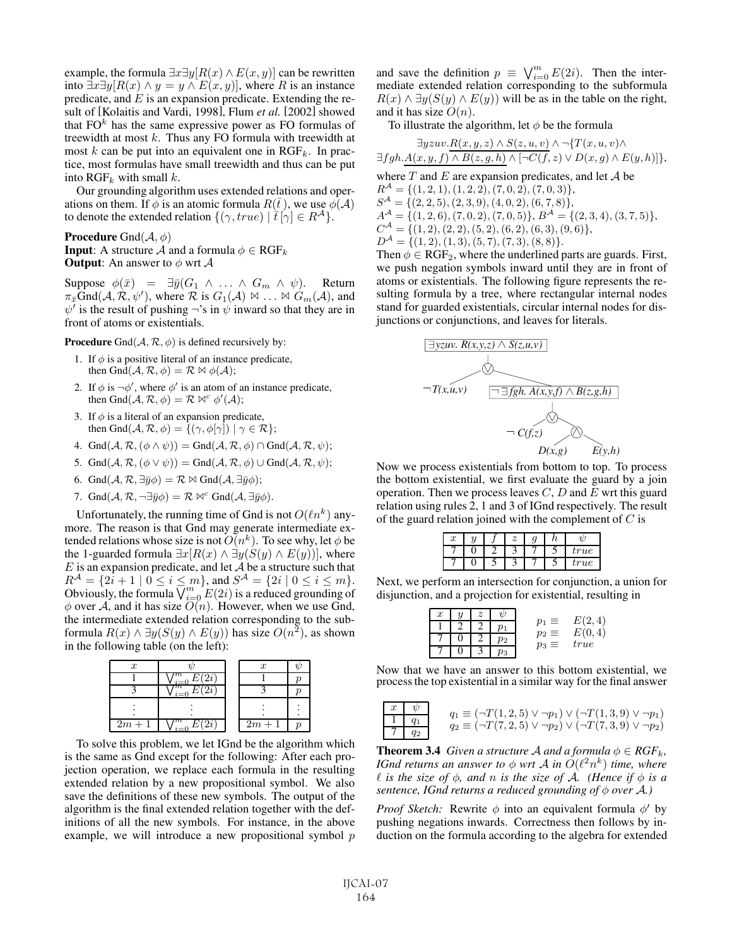example, the formula  $\exists x \exists y [R(x) \land E(x, y)]$  can be rewritten into  $\exists x \exists y [R(x) \land y = y \land E(x, y)]$ , where R is an instance predicate, and  $E$  is an expansion predicate. Extending the result of [Kolaitis and Vardi, 1998], Flum *et al.* [2002] showed that  $FO<sup>k</sup>$  has the same expressive power as FO formulas of treewidth at most  $k$ . Thus any FO formula with treewidth at most  $k$  can be put into an equivalent one in  $RGF_k$ . In practice, most formulas have small treewidth and thus can be put into  $\text{RGF}_k$  with small  $k$ .

Our grounding algorithm uses extended relations and operations on them. If  $\phi$  is an atomic formula  $R(\bar{t})$ , we use  $\dot{\phi}(A)$ to denote the extended relation  $\{(\gamma, true) \mid \tilde{t}[\gamma] \in R^{\mathcal{A}}\}.$ 

**Procedure** Gnd $(\mathcal{A}, \phi)$ **Input:** A structure A and a formula  $\phi \in \text{RGF}_k$ **Output:** An answer to  $\phi$  wrt  $\mathcal{A}$ 

Suppose  $\phi(\bar{x}) = \exists \bar{y}(G_1 \land ... \land G_m \land \psi)$ . Return  $\pi_x \overline{G}nd(\mathcal{A}, \mathcal{R}, \psi')$ , where  $\mathcal R$  is  $G_1(\mathcal{A}) \bowtie \dots \bowtie G_m(\mathcal{A})$ , and  $\psi'$  is the result of pushing  $\neg$ 's in  $\psi$  inward so that they are in front of atoms or existentials.

**Procedure** Gnd $(A, \mathcal{R}, \phi)$  is defined recursively by:

- 1. If  $\phi$  is a positive literal of an instance predicate, then Gnd $(A, \mathcal{R}, \phi) = \mathcal{R} \bowtie \phi(\mathcal{A});$
- 2. If  $\phi$  is  $\neg \phi'$ , where  $\phi'$  is an atom of an instance predicate, then Gnd(  $\vec{A} \times \phi$ ) =  $\vec{R} \bowtie^c \phi'(\vec{A})$ . then Gnd $(\mathcal{A}, \mathcal{R}, \phi) = \mathcal{R} \bowtie^c \phi'(\mathcal{A});$
- 3. If  $\phi$  is a literal of an expansion predicate, then Gnd $(A, \mathcal{R}, \phi) = \{(\gamma, \phi[\gamma]) \mid \gamma \in \mathcal{R}\};$
- 4. Gnd $(A, \mathcal{R}, (\phi \wedge \psi)) =$ Gnd $(A, \mathcal{R}, \phi) \cap$ Gnd $(A, \mathcal{R}, \psi)$ ;
- 5. Gnd $(A, \mathcal{R}, (\phi \vee \psi)) =$ Gnd $(A, \mathcal{R}, \phi) \cup$ Gnd $(A, \mathcal{R}, \psi)$ ;
- 6. Gnd $(A, \mathcal{R}, \exists \bar{y}\phi) = \mathcal{R} \bowtie \text{Gnd}(A, \exists \bar{y}\phi);$
- 7. Gnd $(A, \mathcal{R}, \neg \exists \bar{y}\phi) = \mathcal{R} \bowtie^c \text{Gnd}(A, \exists \bar{y}\phi)$ .

Unfortunately, the running time of Gnd is not  $O(\ell n^k)$  anymore. The reason is that Gnd may generate intermediate extended relations whose size is not  $O(n^k)$ . To see why, let  $\phi$  be the 1-guarded formula  $\exists x[R(x) \land \exists y(S(y) \land E(y))]$ , where  $E$  is an expansion predicate, and let  $\mathcal A$  be a structure such that  $R^{\mathcal{A}} = \{2i+1 \mid 0 \leq i \leq m\}$ , and  $S^{\mathcal{A}} = \{2i \mid 0 \leq i \leq m\}$ . Obviously, the formula  $\overline{\bigvee_{i=0}^{m}} E(2i)$  is a reduced grounding of  $\phi$  over A, and it has size  $O(n)$ . However, when we use Gnd, the intermediate extended relation corresponding to the subformula  $R(x) \wedge \exists y (S(y) \wedge E(y))$  has size  $O(n^2)$ , as shown in the following table (on the left):



To solve this problem, we let IGnd be the algorithm which is the same as Gnd except for the following: After each projection operation, we replace each formula in the resulting extended relation by a new propositional symbol. We also save the definitions of these new symbols. The output of the algorithm is the final extended relation together with the definitions of all the new symbols. For instance, in the above example, we will introduce a new propositional symbol  $p$ 

and save the definition  $p \equiv \bigvee_{i=0}^{m} E(2i)$ . Then the intermediate extended relation corresponding to the subformula  $R(x) \wedge \exists y (S(y) \wedge E(y))$  will be as in the table on the right, and it has size  $O(n)$ .

To illustrate the algorithm, let  $\phi$  be the formula

| $\exists yzuv.R(x,y,z) \wedge S(z,u,v) \wedge \neg \{T(x,u,v) \wedge \neg Y(x,u,v) \wedge \neg Y(x,u,v) \wedge \neg Y(x,u,v) \wedge \neg Y(x,u,v) \wedge \neg Y(x,u,v) \wedge \neg Y(x,u,v) \wedge \neg Y(x,u,v) \wedge \neg Y(x,u,v) \wedge \neg Y(x,u,v) \wedge \neg Y(x,u,v) \wedge \neg Y(x,u,v) \wedge \neg Y(x,u,v) \wedge \neg Y(x,u,v) \wedge \neg Y(x,u,v) \wedge \neg Y(x,u,v) \wedge \neg Y(x,u,v) \wedge \neg Y(x,u,v) \wedge \neg Y(x,u,v) \wedge \neg Y(x,u,v)$ |
|-------------------------------------------------------------------------------------------------------------------------------------------------------------------------------------------------------------------------------------------------------------------------------------------------------------------------------------------------------------------------------------------------------------------------------------------------------------------------------|
| $\exists fgh.A(x,y,f)\wedge B(z,g,h)\wedge [\neg C(f,z)\vee D(x,g)\wedge E(y,h)]\},$                                                                                                                                                                                                                                                                                                                                                                                          |
| where T and E are expansion predicates, and let A be                                                                                                                                                                                                                                                                                                                                                                                                                          |
| $R^{\mathcal{A}} = \{(1,2,1), (1,2,2), (7,0,2), (7,0,3)\},\$                                                                                                                                                                                                                                                                                                                                                                                                                  |
| $S^{\mathcal{A}} = \{(2, 2, 5), (2, 3, 9), (4, 0, 2), (6, 7, 8)\},\$                                                                                                                                                                                                                                                                                                                                                                                                          |
| $A^{\mathcal{A}} = \{(1,2,6), (7,0,2), (7,0,5)\}, B^{\mathcal{A}} = \{(2,3,4), (3,7,5)\},$                                                                                                                                                                                                                                                                                                                                                                                    |
| $C^{\mathcal{A}} = \{(1,2), (2,2), (5,2), (6,2), (6,3), (9,6)\},$                                                                                                                                                                                                                                                                                                                                                                                                             |
| $D^{\mathcal{A}} = \{(1,2), (1,3), (5,7), (7,3), (8,8)\}.$                                                                                                                                                                                                                                                                                                                                                                                                                    |
| Then $\phi \in RGF_2$ , where the underlined parts are guards. First,                                                                                                                                                                                                                                                                                                                                                                                                         |

we push negation symbols inward until they are in front of atoms or existentials. The following figure represents the resulting formula by a tree, where rectangular internal nodes stand for guarded existentials, circular internal nodes for disjunctions or conjunctions, and leaves for literals.



Now we process existentials from bottom to top. To process the bottom existential, we first evaluate the guard by a join operation. Then we process leaves  $C, D$  and  $E$  wrt this guard relation using rules 2, 1 and 3 of IGnd respectively. The result of the guard relation joined with the complement of  $C$  is

| $\boldsymbol{x}$ |  | $\overline{z}$ |  |      |
|------------------|--|----------------|--|------|
|                  |  |                |  | true |
|                  |  |                |  | true |
|                  |  |                |  |      |

Next, we perform an intersection for conjunction, a union for disjunction, and a projection for existential, resulting in

| $\boldsymbol{x}$ | y | 2 |         | ≡          | ച    |
|------------------|---|---|---------|------------|------|
|                  |   |   |         | $\equiv$   |      |
|                  |   |   | $\nu_2$ | $p_2$<br>≡ | true |
|                  |   |   |         | ρ3         |      |
|                  |   |   |         |            |      |

Now that we have an answer to this bottom existential, we process the top existential in a similar way for the final answer

$$
\begin{array}{c}\n x \quad \psi \\
 \hline\n 1 \quad q_1 \\
 \hline\n 7 \quad q_2\n \end{array}\n \quad\n q_1 \equiv (\neg T(1, 2, 5) \lor \neg p_1) \lor (\neg T(1, 3, 9) \lor \neg p_1) \\
 q_2 \equiv (\neg T(7, 2, 5) \lor \neg p_2) \lor (\neg T(7, 3, 9) \lor \neg p_2)
$$

**Theorem 3.4** *Given a structure A and a formula*  $\phi \in RGF_k$ *, IGnd returns an answer to*  $\phi$  *wrt A in*  $O(\ell^2 n^k)$  *time, where*  $\ell$  *is the size of*  $\phi$ *, and n is the size of*  $\mathcal{A}$ *. (Hence if*  $\phi$  *is a sentence, IGnd returns a reduced grounding of*  $\phi$  *over* A.)

*Proof Sketch:* Rewrite  $\phi$  into an equivalent formula  $\phi'$  by pushing negations inwards. Correctness then follows by induction on the formula according to the algebra for extended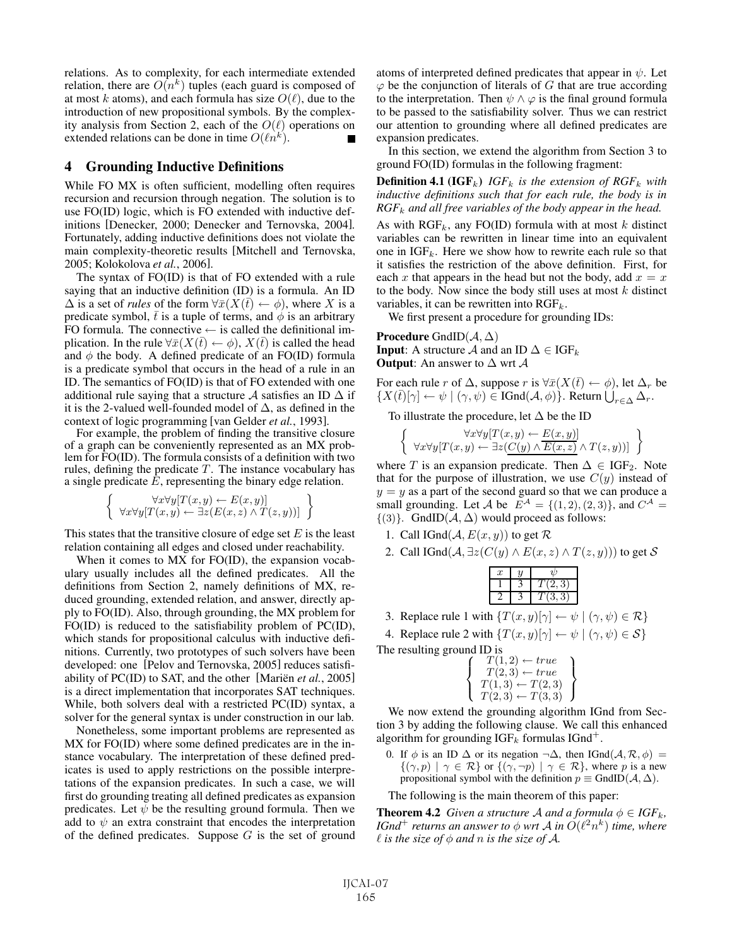relations. As to complexity, for each intermediate extended relation, there are  $O(n^k)$  tuples (each guard is composed of at most k atoms), and each formula has size  $O(\ell)$ , due to the introduction of new propositional symbols. By the complexity analysis from Section 2, each of the  $O(\ell)$  operations on extended relations can be done in time  $O(\ell n^k)$ .

## 4 Grounding Inductive Definitions

While FO MX is often sufficient, modelling often requires recursion and recursion through negation. The solution is to use FO(ID) logic, which is FO extended with inductive definitions [Denecker, 2000; Denecker and Ternovska, 2004]. Fortunately, adding inductive definitions does not violate the main complexity-theoretic results [Mitchell and Ternovska, 2005; Kolokolova *et al.*, 2006].

The syntax of FO(ID) is that of FO extended with a rule saying that an inductive definition (ID) is a formula. An ID  $\Delta$  is a set of *rules* of the form  $\forall \bar{x}(X(\bar{t}) \leftarrow \phi)$ , where X is a predicate symbol,  $\bar{t}$  is a tuple of terms, and  $\dot{\phi}$  is an arbitrary FO formula. The connective  $\leftarrow$  is called the definitional implication. In the rule  $\forall \bar{x}(X(\bar{t}) \leftarrow \phi)$ ,  $X(\bar{t})$  is called the head and  $\phi$  the body. A defined predicate of an FO(ID) formula is a predicate symbol that occurs in the head of a rule in an ID. The semantics of FO(ID) is that of FO extended with one additional rule saying that a structure A satisfies an ID  $\Delta$  if it is the 2-valued well-founded model of  $\Delta$ , as defined in the context of logic programming [van Gelder *et al.*, 1993]. For example, the problem of finding the transitive closure

of a graph can be conveniently represented as an MX problem for FO(ID). The formula consists of a definition with two rules, defining the predicate  $T$ . The instance vocabulary has a single predicate E, representing the binary edge relation.

$$
\left\{\n\begin{array}{l}\n\forall x \forall y [T(x,y) \leftarrow E(x,y)] \\
\forall x \forall y [T(x,y) \leftarrow \exists z (E(x,z) \land T(z,y))] \n\end{array}\n\right\}
$$

This states that the transitive closure of edge set  $E$  is the least relation containing all edges and closed under reachability.

When it comes to MX for FO(ID), the expansion vocabulary usually includes all the defined predicates. All the definitions from Section 2, namely definitions of MX, reduced grounding, extended relation, and answer, directly apply to FO(ID). Also, through grounding, the MX problem for FO(ID) is reduced to the satisfiability problem of PC(ID), which stands for propositional calculus with inductive definitions. Currently, two prototypes of such solvers have been developed: one [Pelov and Ternovska, 2005] reduces satisfiability of  $PC(ID)$  to SAT, and the other [Mariën *et al.*, 2005] is a direct implementation that incorporates SAT techniques. While, both solvers deal with a restricted PC(ID) syntax, a solver for the general syntax is under construction in our lab.

Nonetheless, some important problems are represented as MX for FO(ID) where some defined predicates are in the instance vocabulary. The interpretation of these defined predicates is used to apply restrictions on the possible interpretations of the expansion predicates. In such a case, we will first do grounding treating all defined predicates as expansion predicates. Let  $\psi$  be the resulting ground formula. Then we add to  $\psi$  an extra constraint that encodes the interpretation of the defined predicates. Suppose  $G$  is the set of ground atoms of interpreted defined predicates that appear in  $\psi$ . Let  $\varphi$  be the conjunction of literals of G that are true according to the interpretation. Then  $\psi \wedge \varphi$  is the final ground formula to be passed to the satisfiability solver. Thus we can restrict our attention to grounding where all defined predicates are expansion predicates.

In this section, we extend the algorithm from Section 3 to ground FO(ID) formulas in the following fragment:

**Definition 4.1 (IGF**<sub>k</sub>) *IGF*<sub>k</sub> *is the extension of RGF*<sub>k</sub> *with inductive definitions such that for each rule, the body is in RGF*<sup>k</sup> *and all free variables of the body appear in the head.*

As with  $RGF_k$ , any FO(ID) formula with at most k distinct variables can be rewritten in linear time into an equivalent one in  $IGF_k$ . Here we show how to rewrite each rule so that it satisfies the restriction of the above definition. First, for each x that appears in the head but not the body, add  $x = x$ to the body. Now since the body still uses at most  $k$  distinct variables, it can be rewritten into  $\text{RGF}_k$ .

We first present a procedure for grounding IDs:

**Procedure** GndID( $A, \Delta$ ) **Input:** A structure A and an ID  $\Delta \in \text{IGF}_k$ **Output:** An answer to  $\Delta$  wrt  $\mathcal A$ 

For each rule r of  $\Delta$ , suppose r is  $\forall \bar{x}(X(\bar{t}) \leftarrow \phi)$ , let  $\Delta_r$  be  $\{X(\overline{t})[\gamma] \leftarrow \psi \mid (\gamma, \psi) \in \text{IGnd}(\mathcal{A}, \phi)\}.$  Return  $\bigcup_{r \in \Delta} \Delta_r$ .

To illustrate the procedure, let  $\Delta$  be the ID

 $\left\{\n\begin{array}{c}\n\forall x \forall y [T(x,y) \leftarrow E(x,y)] \\
\forall x \forall y [T(x,y) \leftarrow \exists z (C(y) \land \overline{E(x,z)} \land T(z,y))] \n\end{array}\n\right\}\n\right\}$ 

where T is an expansion predicate. Then  $\Delta \in \text{IGF}_2$ . Note that for the purpose of illustration, we use  $C(y)$  instead of  $y = y$  as a part of the second guard so that we can produce a small grounding. Let A be  $E^{\mathcal{A}} = \{(1, 2), (2, 3)\}\$ , and  $C^{\mathcal{A}} =$  $\{(3)\}\$ . GndID( $\mathcal{A}, \Delta$ ) would proceed as follows:

- 1. Call IGnd( $A, E(x, y)$ ) to get R
- 2. Call IGnd( $A, \exists z (C(y) \land E(x, z) \land T(z, y))$ ) to get S

| x |  |
|---|--|
|   |  |
|   |  |
|   |  |

3. Replace rule 1 with  $\{T(x, y)[\gamma] \leftarrow \psi \mid (\gamma, \psi) \in \mathcal{R}\}\$ 

4. Replace rule 2 with  $\{T(x, y)[\gamma] \leftarrow \psi \mid (\gamma, \psi) \in \mathcal{S}\}\$ 

The resulting ground ID is

| $T(1,2) \leftarrow true$   |  |
|----------------------------|--|
| $T(2,3) \leftarrow true$   |  |
| $T(1,3) \leftarrow T(2,3)$ |  |
| $T(2,3) \leftarrow T(3,3)$ |  |

 $\Gamma(T(2,3) \leftarrow T(3,3)$ <br>We now extend the grounding algorithm IGnd from Section 3 by adding the following clause. We call this enhanced algorithm for grounding  $IGF_k$  formulas  $IGnd^+$ .

0. If  $\phi$  is an ID  $\Delta$  or its negation  $\neg \Delta$ , then IGnd( $\mathcal{A}, \mathcal{R}, \phi$ ) =  $\{(\gamma, p) \mid \gamma \in \mathcal{R}\}$  or  $\{(\gamma, \neg p) \mid \gamma \in \mathcal{R}\}$ , where p is a new propositional symbol with the definition  $p \equiv \text{GndID}(\mathcal{A}, \Delta)$ .

The following is the main theorem of this paper:

**Theorem 4.2** *Given a structure A and a formula*  $\phi \in IGF_k$ *, IGnd*<sup>+</sup> *returns an answer to*  $\phi$  *wrt*  $\mathcal{A}$  *in*  $O(\ell^2 n^k)$  *time, where*  $\ell$  is the size of  $\phi$  and n is the size of  $\mathcal{A}$ *.*